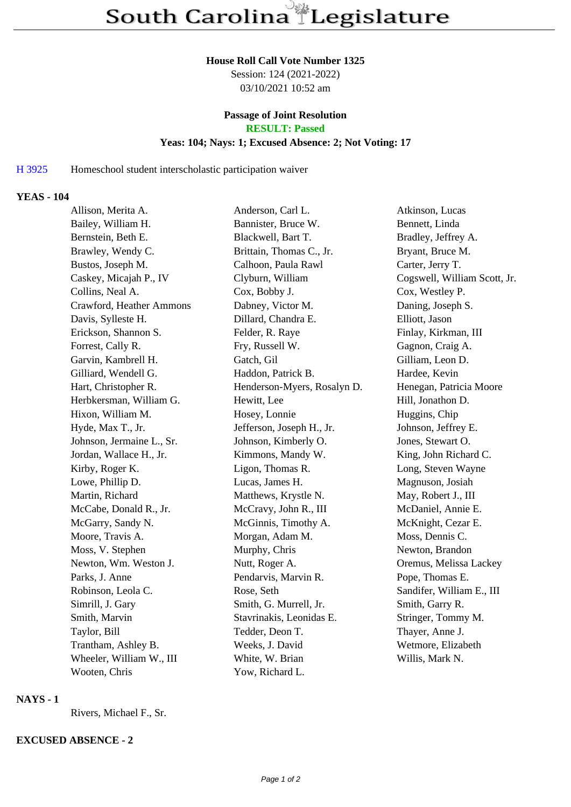#### **House Roll Call Vote Number 1325**

Session: 124 (2021-2022) 03/10/2021 10:52 am

# **Passage of Joint Resolution**

**RESULT: Passed**

#### **Yeas: 104; Nays: 1; Excused Absence: 2; Not Voting: 17**

### H 3925 Homeschool student interscholastic participation waiver

#### **YEAS - 104**

| Allison, Merita A.        | Anderson, Carl L.           | Atkinson, Lucas              |
|---------------------------|-----------------------------|------------------------------|
| Bailey, William H.        | Bannister, Bruce W.         | Bennett, Linda               |
| Bernstein, Beth E.        | Blackwell, Bart T.          | Bradley, Jeffrey A.          |
| Brawley, Wendy C.         | Brittain, Thomas C., Jr.    | Bryant, Bruce M.             |
| Bustos, Joseph M.         | Calhoon, Paula Rawl         | Carter, Jerry T.             |
| Caskey, Micajah P., IV    | Clyburn, William            | Cogswell, William Scott, Jr. |
| Collins, Neal A.          | Cox, Bobby J.               | Cox, Westley P.              |
| Crawford, Heather Ammons  | Dabney, Victor M.           | Daning, Joseph S.            |
| Davis, Sylleste H.        | Dillard, Chandra E.         | Elliott, Jason               |
| Erickson, Shannon S.      | Felder, R. Raye             | Finlay, Kirkman, III         |
| Forrest, Cally R.         | Fry, Russell W.             | Gagnon, Craig A.             |
| Garvin, Kambrell H.       | Gatch, Gil                  | Gilliam, Leon D.             |
| Gilliard, Wendell G.      | Haddon, Patrick B.          | Hardee, Kevin                |
| Hart, Christopher R.      | Henderson-Myers, Rosalyn D. | Henegan, Patricia Moore      |
| Herbkersman, William G.   | Hewitt, Lee                 | Hill, Jonathon D.            |
| Hixon, William M.         | Hosey, Lonnie               | Huggins, Chip                |
| Hyde, Max T., Jr.         | Jefferson, Joseph H., Jr.   | Johnson, Jeffrey E.          |
| Johnson, Jermaine L., Sr. | Johnson, Kimberly O.        | Jones, Stewart O.            |
| Jordan, Wallace H., Jr.   | Kimmons, Mandy W.           | King, John Richard C.        |
| Kirby, Roger K.           | Ligon, Thomas R.            | Long, Steven Wayne           |
| Lowe, Phillip D.          | Lucas, James H.             | Magnuson, Josiah             |
| Martin, Richard           | Matthews, Krystle N.        | May, Robert J., III          |
| McCabe, Donald R., Jr.    | McCravy, John R., III       | McDaniel, Annie E.           |
| McGarry, Sandy N.         | McGinnis, Timothy A.        | McKnight, Cezar E.           |
| Moore, Travis A.          | Morgan, Adam M.             | Moss, Dennis C.              |
| Moss, V. Stephen          | Murphy, Chris               | Newton, Brandon              |
| Newton, Wm. Weston J.     | Nutt, Roger A.              | Oremus, Melissa Lackey       |
| Parks, J. Anne            | Pendarvis, Marvin R.        | Pope, Thomas E.              |
| Robinson, Leola C.        | Rose, Seth                  | Sandifer, William E., III    |
| Simrill, J. Gary          | Smith, G. Murrell, Jr.      | Smith, Garry R.              |
| Smith, Marvin             | Stavrinakis, Leonidas E.    | Stringer, Tommy M.           |
| Taylor, Bill              | Tedder, Deon T.             | Thayer, Anne J.              |
| Trantham, Ashley B.       | Weeks, J. David             | Wetmore, Elizabeth           |
| Wheeler, William W., III  | White, W. Brian             | Willis, Mark N.              |
| Wooten, Chris             | Yow, Richard L.             |                              |

#### **NAYS - 1**

Rivers, Michael F., Sr.

## **EXCUSED ABSENCE - 2**